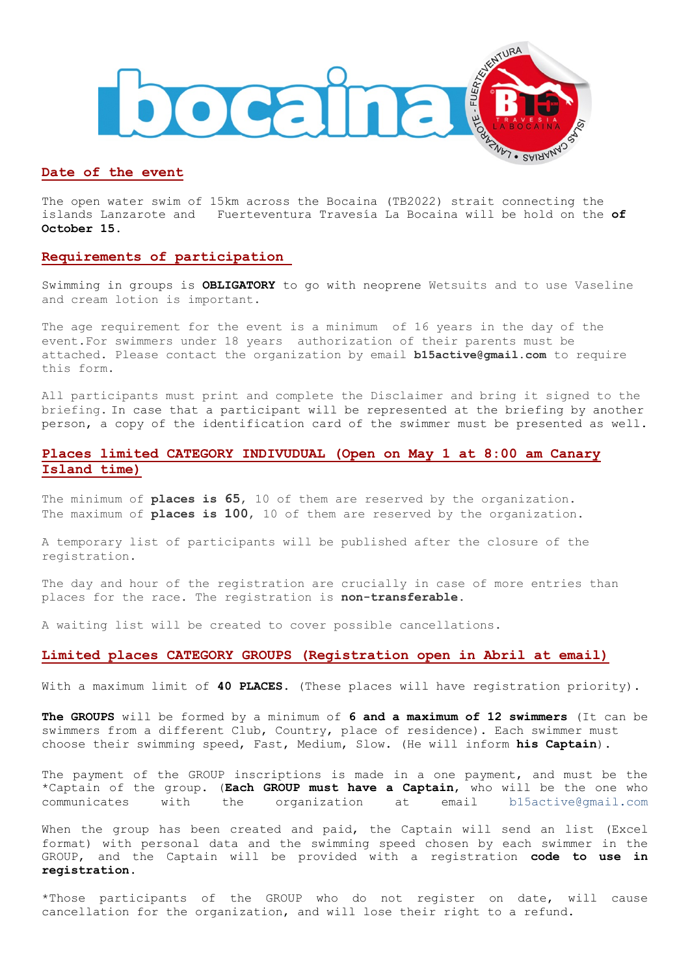

# **Date of the event**

The open water swim of 15km across the Bocaina (TB2022) strait connecting the islands Lanzarote and Fuerteventura Travesía La Bocaina will be hold on the **of October 15.**

## **Requirements of participation**

Swimming in groups is **OBLIGATORY** to go with neoprene Wetsuits and to use Vaseline and cream lotion is important.

The age requirement for the event is a minimum of 16 years in the day of the event.For swimmers under 18 years authorization of their parents must be attached. Please contact the organization by email **b15active@gmail.com** to require this form.

All participants must print and complete the Disclaimer and bring it signed to the briefing. In case that a participant will be represented at the briefing by another person, a copy of the identification card of the swimmer must be presented as well.

# **Places limited CATEGORY INDIVUDUAL (Open on May 1 at 8:00 am Canary Island time)**

The minimum of **places is 65**, 10 of them are reserved by the organization. The maximum of **places is 100**, 10 of them are reserved by the organization.

A temporary list of participants will be published after the closure of the registration.

The day and hour of the registration are crucially in case of more entries than places for the race. The registration is **non-transferable.**

A waiting list will be created to cover possible cancellations.

## **Limited places CATEGORY GROUPS (Registration open in Abril at email)**

With a maximum limit of **40 PLACES**. (These places will have registration priority).

**The GROUPS** will be formed by a minimum of **6 and a maximum of 12 swimmers** (It can be swimmers from a different Club, Country, place of residence). Each swimmer must choose their swimming speed, Fast, Medium, Slow. (He will inform **his Captain**).

The payment of the GROUP inscriptions is made in a one payment, and must be the \*Captain of the group. (**Each GROUP must have a Captain**, who will be the one who communicates with the organization at email b15active@gmail.com

When the group has been created and paid, the Captain will send an list (Excel format) with personal data and the swimming speed chosen by each swimmer in the GROUP, and the Captain will be provided with a registration **code to use in registration**.

\*Those participants of the GROUP who do not register on date, will cause cancellation for the organization, and will lose their right to a refund.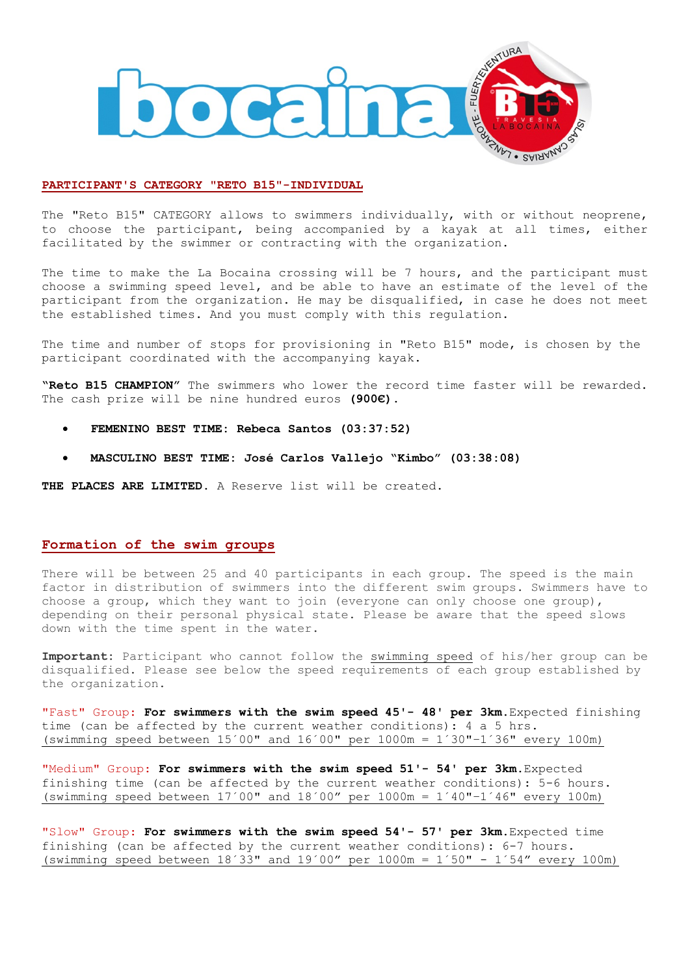

#### **PARTICIPANT'S CATEGORY "RETO B15"-INDIVIDUAL**

The "Reto B15" CATEGORY allows to swimmers individually, with or without neoprene, to choose the participant, being accompanied by a kayak at all times, either facilitated by the swimmer or contracting with the organization.

The time to make the La Bocaina crossing will be 7 hours, and the participant must choose a swimming speed level, and be able to have an estimate of the level of the participant from the organization. He may be disqualified, in case he does not meet the established times. And you must comply with this regulation.

The time and number of stops for provisioning in "Reto B15" mode, is chosen by the participant coordinated with the accompanying kayak.

**"Reto B15 CHAMPION"** The swimmers who lower the record time faster will be rewarded. The cash prize will be nine hundred euros **(900€).**

- **FEMENINO BEST TIME: Rebeca Santos (03:37:52)**
- **MASCULINO BEST TIME: José Carlos Vallejo "Kimbo" (03:38:08)**

**THE PLACES ARE LIMITED**. A Reserve list will be created.

## **Formation of the swim groups**

There will be between 25 and 40 participants in each group. The speed is the main factor in distribution of swimmers into the different swim groups. Swimmers have to choose a group, which they want to join (everyone can only choose one group), depending on their personal physical state. Please be aware that the speed slows down with the time spent in the water.

**Important:** Participant who cannot follow the swimming speed of his/her group can be disqualified. Please see below the speed requirements of each group established by the organization.

"Fast" Group: **For swimmers with the swim speed 45'- 48' per 3km.**Expected finishing time (can be affected by the current weather conditions): 4 a 5 hrs. (swimming speed between  $15'00''$  and  $16'00''$  per  $1000m = 1'30'' - 1'36''$  every 100m)

"Medium" Group: **For swimmers with the swim speed 51'- 54' per 3km.**Expected finishing time (can be affected by the current weather conditions): 5-6 hours. (swimming speed between  $17'00''$  and  $18'00''$  per  $1000m = 1'40''-1'46''$  every  $100m$ )

"Slow" Group: **For swimmers with the swim speed 54'- 57' per 3km.**Expected time finishing (can be affected by the current weather conditions): 6-7 hours. (swimming speed between  $18'33$ " and  $19'00''$  per  $1000m = 1'50" - 1'54''$  every  $100m$ )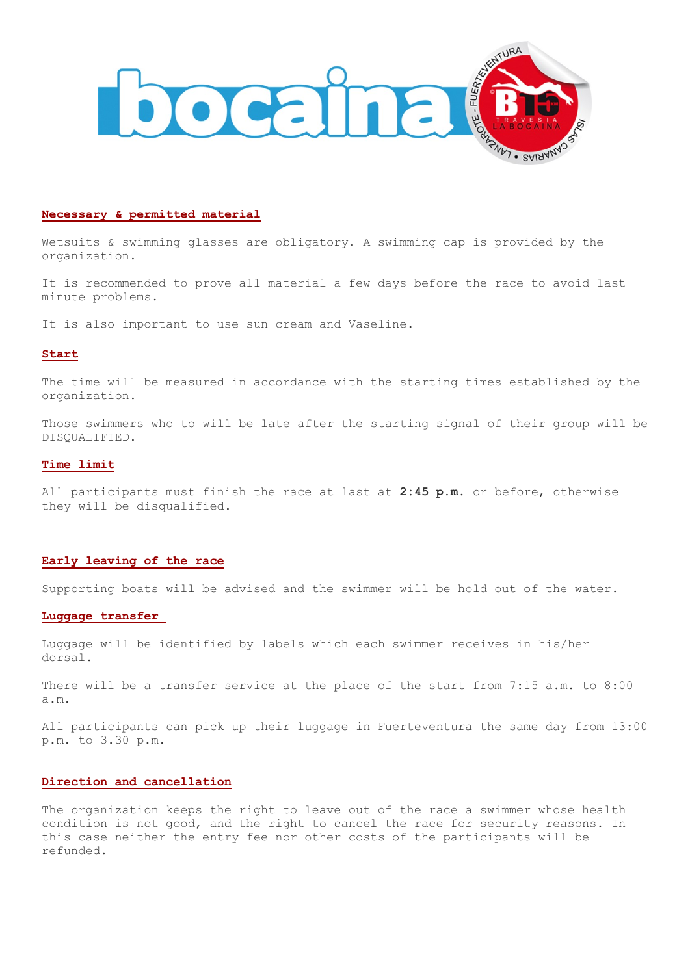

#### **Necessary & permitted material**

Wetsuits & swimming glasses are obligatory. A swimming cap is provided by the organization.

It is recommended to prove all material a few days before the race to avoid last minute problems.

It is also important to use sun cream and Vaseline.

#### **Start**

The time will be measured in accordance with the starting times established by the organization.

Those swimmers who to will be late after the starting signal of their group will be DISQUALIFIED.

#### **Time limit**

All participants must finish the race at last at **2:45 p.m**. or before, otherwise they will be disqualified.

#### **Early leaving of the race**

Supporting boats will be advised and the swimmer will be hold out of the water.

## **Luggage transfer**

Luggage will be identified by labels which each swimmer receives in his/her dorsal.

There will be a transfer service at the place of the start from 7:15 a.m. to 8:00 a.m.

All participants can pick up their luggage in Fuerteventura the same day from 13:00 p.m. to 3.30 p.m.

## **Direction and cancellation**

The organization keeps the right to leave out of the race a swimmer whose health condition is not good, and the right to cancel the race for security reasons. In this case neither the entry fee nor other costs of the participants will be refunded.